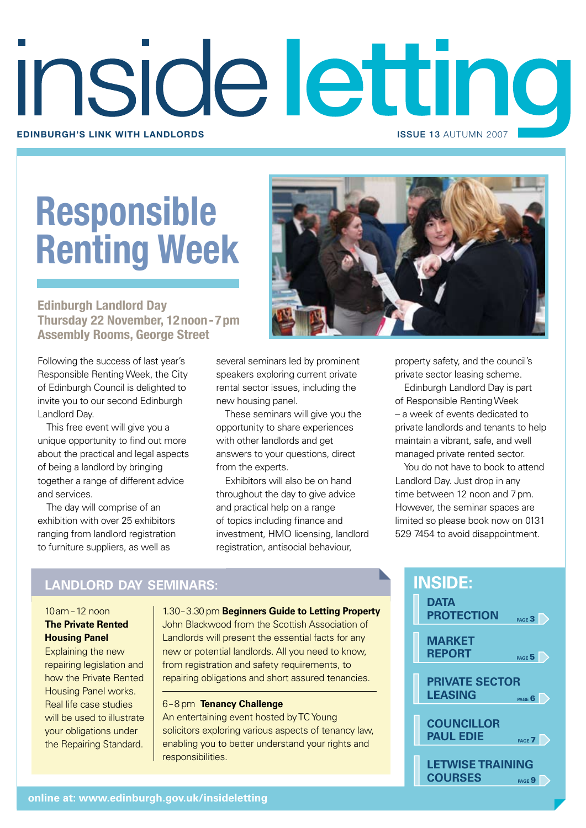# inside letting **Edinburgh's link with landlords** issue 13 AUTUMN 2007

# **Responsible Renting Week**

**Edinburgh Landlord Day Thursday 22 November, 12noon-7pm Assembly Rooms, George Street**

Following the success of last year's Responsible Renting Week, the City of Edinburgh Council is delighted to invite you to our second Edinburgh Landlord Day.

This free event will give you a unique opportunity to find out more about the practical and legal aspects of being a landlord by bringing together a range of different advice and services.

The day will comprise of an exhibition with over 25 exhibitors ranging from landlord registration to furniture suppliers, as well as



several seminars led by prominent speakers exploring current private rental sector issues, including the new housing panel.

These seminars will give you the opportunity to share experiences with other landlords and get answers to your questions, direct from the experts.

Exhibitors will also be on hand throughout the day to give advice and practical help on a range of topics including finance and investment, HMO licensing, landlord registration, antisocial behaviour,

property safety, and the council's private sector leasing scheme.

Edinburgh Landlord Day is part of Responsible Renting Week – a week of events dedicated to private landlords and tenants to help maintain a vibrant, safe, and well managed private rented sector.

You do not have to book to attend Landlord Day. Just drop in any time between 12 noon and 7pm. However, the seminar spaces are limited so please book now on 0131 529 7454 to avoid disappointment.

# **LANDLORD DAY Seminars:**

# 10am – 12 noon **The Private Rented Housing Panel**

Explaining the new repairing legislation and how the Private Rented Housing Panel works. Real life case studies will be used to illustrate your obligations under the Repairing Standard.

1.30 – 3.30 pm **Beginners Guide to Letting Property**

John Blackwood from the Scottish Association of Landlords will present the essential facts for any new or potential landlords. All you need to know, from registration and safety requirements, to repairing obligations and short assured tenancies.

# 6 – 8 pm **Tenancy Challenge**

An entertaining event hosted by TC Young solicitors exploring various aspects of tenancy law, enabling you to better understand your rights and responsibilities.

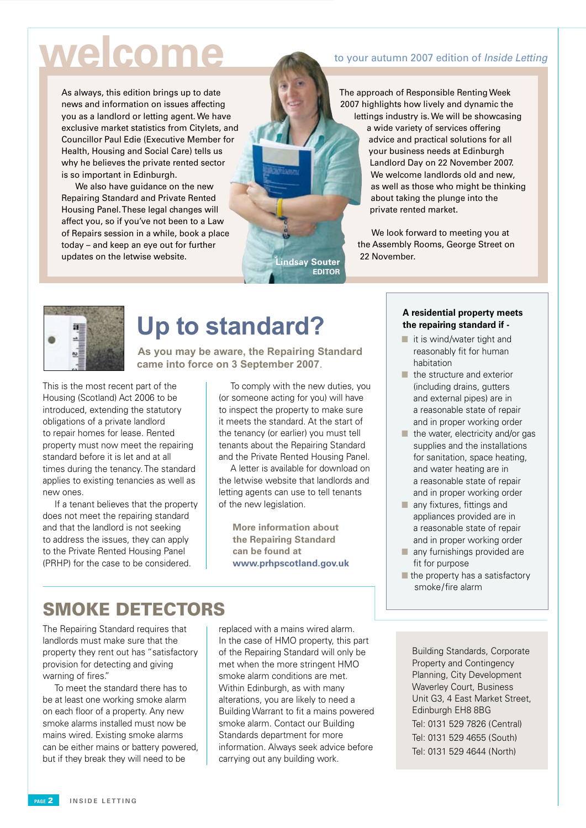# **welcome**

As always, this edition brings up to date news and information on issues affecting you as a landlord or letting agent. We have exclusive market statistics from Citylets, and Councillor Paul Edie (Executive Member for Health, Housing and Social Care) tells us why he believes the private rented sector is so important in Edinburgh.

 We also have guidance on the new Repairing Standard and Private Rented Housing Panel. These legal changes will affect you, so if you've not been to a Law of Repairs session in a while, book a place today – and keep an eye out for further updates on the letwise website.

# to your autumn 2007 edition of Inside Letting

The approach of Responsible Renting Week 2007 highlights how lively and dynamic the lettings industry is. We will be showcasing a wide variety of services offering advice and practical solutions for all your business needs at Edinburgh Landlord Day on 22 November 2007. We welcome landlords old and new, as well as those who might be thinking about taking the plunge into the private rented market.

 We look forward to meeting you at the Assembly Rooms, George Street on 22 November.



# **Up to standard?**

**As you may be aware, the Repairing Standard came into force on 3 September 2007**.

This is the most recent part of the Housing (Scotland) Act 2006 to be introduced, extending the statutory obligations of a private landlord to repair homes for lease. Rented property must now meet the repairing standard before it is let and at all times during the tenancy. The standard applies to existing tenancies as well as new ones.

 If a tenant believes that the property does not meet the repairing standard and that the landlord is not seeking to address the issues, they can apply to the Private Rented Housing Panel (PRHP) for the case to be considered.

 To comply with the new duties, you (or someone acting for you) will have to inspect the property to make sure it meets the standard. At the start of the tenancy (or earlier) you must tell tenants about the Repairing Standard and the Private Rented Housing Panel.

**Lindsay Souter Editor**

 A letter is available for download on the letwise website that landlords and letting agents can use to tell tenants of the new legislation.

**More information about the Repairing Standard can be found at www.prhpscotland.gov.uk**

# SMOKE DETECTORS

The Repairing Standard requires that landlords must make sure that the property they rent out has "satisfactory provision for detecting and giving warning of fires."

 To meet the standard there has to be at least one working smoke alarm on each floor of a property. Any new smoke alarms installed must now be mains wired. Existing smoke alarms can be either mains or battery powered, but if they break they will need to be

replaced with a mains wired alarm. In the case of HMO property, this part of the Repairing Standard will only be met when the more stringent HMO smoke alarm conditions are met. Within Edinburgh, as with many alterations, you are likely to need a Building Warrant to fit a mains powered smoke alarm. Contact our Building Standards department for more information. Always seek advice before carrying out any building work.

### **A residential property meets the repairing standard if -**

- $\blacksquare$  it is wind/water tight and reasonably fit for human habitation
- $\blacksquare$  the structure and exterior (including drains, gutters and external pipes) are in a reasonable state of repair and in proper working order
- $\blacksquare$  the water, electricity and/or gas supplies and the installations for sanitation, space heating, and water heating are in a reasonable state of repair and in proper working order
- $\blacksquare$  any fixtures, fittings and appliances provided are in a reasonable state of repair and in proper working order
- any furnishings provided are fit for purpose
- $\blacksquare$  the property has a satisfactory smoke/fire alarm

Building Standards, Corporate Property and Contingency Planning, City Development Waverley Court, Business Unit G3, 4 East Market Street, Edinburgh EH8 8BG Tel: 0131 529 7826 (Central) Tel: 0131 529 4655 (South) Tel: 0131 529 4644 (North)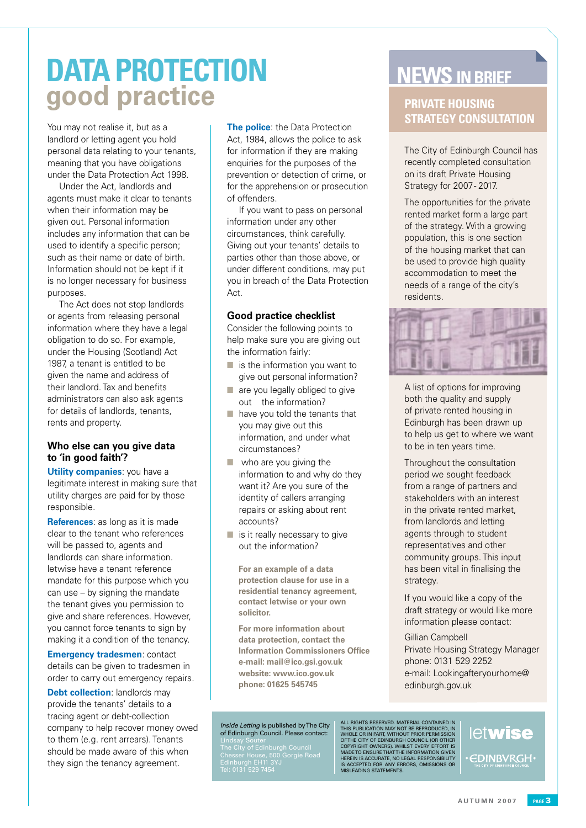# **DATA PROTECTION good practice**

You may not realise it, but as a landlord or letting agent you hold personal data relating to your tenants, meaning that you have obligations under the Data Protection Act 1998.

Under the Act, landlords and agents must make it clear to tenants when their information may be given out. Personal information includes any information that can be used to identify a specific person; such as their name or date of birth. Information should not be kept if it is no longer necessary for business purposes.

The Act does not stop landlords or agents from releasing personal information where they have a legal obligation to do so. For example, under the Housing (Scotland) Act 1987, a tenant is entitled to be given the name and address of their landlord. Tax and benefits administrators can also ask agents for details of landlords, tenants, rents and property.

# **Who else can you give data to 'in good faith'?**

**Utility companies:** you have a legitimate interest in making sure that utility charges are paid for by those responsible.

**References**: as long as it is made clear to the tenant who references will be passed to, agents and landlords can share information. letwise have a tenant reference mandate for this purpose which you can use – by signing the mandate the tenant gives you permission to give and share references. However, you cannot force tenants to sign by making it a condition of the tenancy.

**Emergency tradesmen**: contact details can be given to tradesmen in order to carry out emergency repairs.

**Debt collection**: landlords may provide the tenants' details to a tracing agent or debt-collection company to help recover money owed to them (e.g. rent arrears). Tenants should be made aware of this when they sign the tenancy agreement.

**The police:** the Data Protection Act, 1984, allows the police to ask for information if they are making enquiries for the purposes of the prevention or detection of crime, or for the apprehension or prosecution of offenders.

If you want to pass on personal information under any other circumstances, think carefully. Giving out your tenants' details to parties other than those above, or under different conditions, may put you in breach of the Data Protection Act.

# **Good practice checklist**

Consider the following points to help make sure you are giving out the information fairly:

- $\blacksquare$  is the information you want to give out personal information?
- $\blacksquare$  are you legally obliged to give out the information?
- $\blacksquare$  have you told the tenants that you may give out this information, and under what circumstances?
- $\blacksquare$  who are you giving the information to and why do they want it? Are you sure of the identity of callers arranging repairs or asking about rent accounts?
- $\blacksquare$  is it really necessary to give out the information?

**For an example of a data protection clause for use in a residential tenancy agreement, contact letwise or your own solicitor.**

**For more information about data protection, contact the Information Commissioners Office e-mail: mail@ico.gsi.gov.uk website: www.ico.gov.uk phone: 01625 545745**

#### Inside Letting is published by The City of Edinburgh Council. Please contact:

Lindsay Souter The City of Edinburgh Council Chesser House, 500 Gorgie Road Edinburgh EH11 3YJ Tel: 0131 529 7454

# **NEWS IN BRIEF**

# **Private Housing Strategy Consultation**

The City of Edinburgh Council has recently completed consultation on its draft Private Housing Strategy for 2007 - 2017.

The opportunities for the private rented market form a large part of the strategy. With a growing population, this is one section of the housing market that can be used to provide high quality accommodation to meet the needs of a range of the city's residents.



A list of options for improving both the quality and supply of private rented housing in Edinburgh has been drawn up to help us get to where we want to be in ten years time.

Throughout the consultation period we sought feedback from a range of partners and stakeholders with an interest in the private rented market, from landlords and letting agents through to student representatives and other community groups. This input has been vital in finalising the strategy.

If you would like a copy of the draft strategy or would like more information please contact:

Gillian Campbell Private Housing Strategy Manager phone: 0131 529 2252 e-mail: Lookingafteryourhome@ edinburgh.gov.uk

# ALL RIGHTS RESERVED. MATERIAL CONTAINED IN<br>THIS PUBLICATION MAY NOT BE REPRODUCED, IN<br>WHOLE OR IN PART, WITHOUT PRIOR PERMISSION<br>OF THE CITY OF EDINBURGH COUNCIL (OR OTHER<br>COPYRIGHT OWNERS). WHILST EVERY EFFORT IS<br>MADE TO letwise **EDINBVRGH**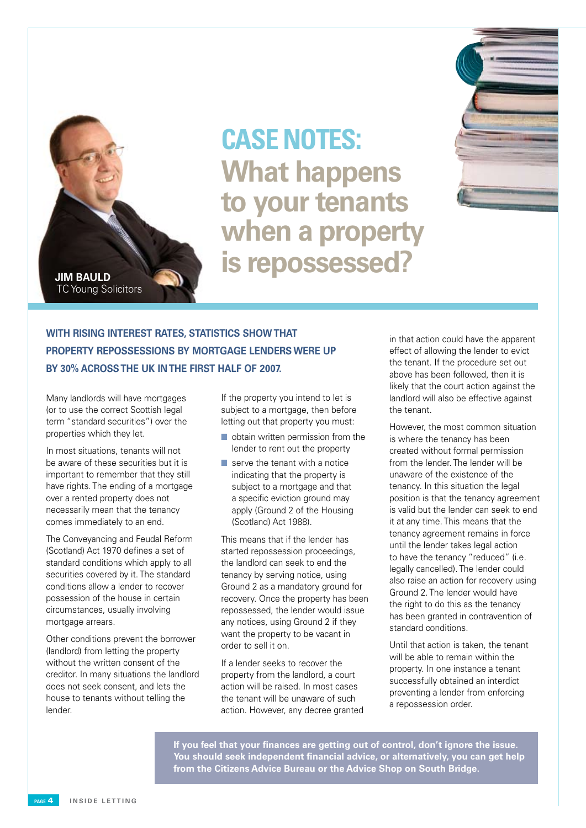

**What happens to your tenants when a property is repossessed? CASE NOTES:** 



# **With rising interest rates, statistics show that property repossessions by mortgage lenders were up by 30% acrossthe UK inthe first half of 2007.**

Many landlords will have mortgages (or to use the correct Scottish legal term "standard securities") over the properties which they let.

In most situations, tenants will not be aware of these securities but it is important to remember that they still have rights. The ending of a mortgage over a rented property does not necessarily mean that the tenancy comes immediately to an end.

The Conveyancing and Feudal Reform (Scotland) Act 1970 defines a set of standard conditions which apply to all securities covered by it. The standard conditions allow a lender to recover possession of the house in certain circumstances, usually involving mortgage arrears.

Other conditions prevent the borrower (landlord) from letting the property without the written consent of the creditor. In many situations the landlord does not seek consent, and lets the house to tenants without telling the lender.

If the property you intend to let is subject to a mortgage, then before letting out that property you must:

- $\blacksquare$  obtain written permission from the lender to rent out the property
- $\blacksquare$  serve the tenant with a notice indicating that the property is subject to a mortgage and that a specific eviction ground may apply (Ground 2 of the Housing (Scotland) Act 1988).

This means that if the lender has started repossession proceedings, the landlord can seek to end the tenancy by serving notice, using Ground 2 as a mandatory ground for recovery. Once the property has been repossessed, the lender would issue any notices, using Ground 2 if they want the property to be vacant in order to sell it on.

If a lender seeks to recover the property from the landlord, a court action will be raised. In most cases the tenant will be unaware of such action. However, any decree granted in that action could have the apparent effect of allowing the lender to evict the tenant. If the procedure set out above has been followed, then it is likely that the court action against the landlord will also be effective against the tenant.

However, the most common situation is where the tenancy has been created without formal permission from the lender. The lender will be unaware of the existence of the tenancy. In this situation the legal position is that the tenancy agreement is valid but the lender can seek to end it at any time. This means that the tenancy agreement remains in force until the lender takes legal action to have the tenancy "reduced" (i.e. legally cancelled). The lender could also raise an action for recovery using Ground 2. The lender would have the right to do this as the tenancy has been granted in contravention of standard conditions.

Until that action is taken, the tenant will be able to remain within the property. In one instance a tenant successfully obtained an interdict preventing a lender from enforcing a repossession order.

**If you feel that your finances are getting out of control, don't ignore the issue. You should seek independent financial advice, or alternatively, you can get help from the Citizens Advice Bureau or the Advice Shop on South Bridge.**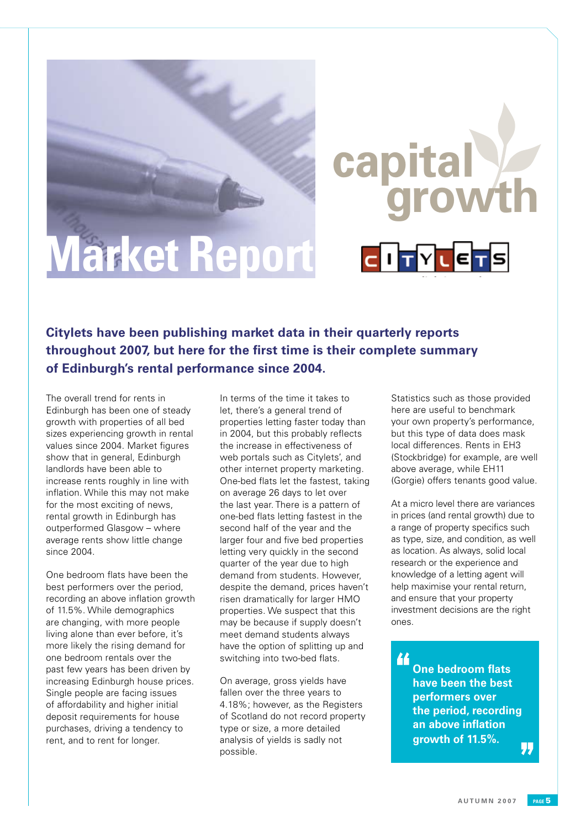# **Market Report**

**Citylets have been publishing market data in their quarterly reports throughout 2007, but here for the first time is their complete summary of Edinburgh's rental performance since 2004.**

. Edinburgh has been one of steady The overall trend for rents in growth with properties of all bed sizes experiencing growth in rental values since 2004. Market figures show that in general, Edinburgh landlords have been able to increase rents roughly in line with inflation. While this may not make for the most exciting of news, rental growth in Edinburgh has outperformed Glasgow – where average rents show little change since 2004.

One bedroom flats have been the best performers over the period, recording an above inflation growth of 11.5%. While demographics are changing, with more people living alone than ever before, it's more likely the rising demand for one bedroom rentals over the past few years has been driven by increasing Edinburgh house prices. Single people are facing issues of affordability and higher initial deposit requirements for house purchases, driving a tendency to rent, and to rent for longer.

In terms of the time it takes to let, there's a general trend of properties letting faster today than in 2004, but this probably reflects the increase in effectiveness of web portals such as Citylets', and other internet property marketing. One-bed flats let the fastest, taking on average 26 days to let over the last year. There is a pattern of one-bed flats letting fastest in the second half of the year and the larger four and five bed properties letting very quickly in the second quarter of the year due to high demand from students. However, despite the demand, prices haven't risen dramatically for larger HMO properties. We suspect that this may be because if supply doesn't meet demand students always have the option of splitting up and switching into two-bed flats.

On average, gross yields have fallen over the three years to 4.18%; however, as the Registers of Scotland do not record property type or size, a more detailed analysis of yields is sadly not possible.

Statistics such as those provided here are useful to benchmark your own property's performance, but this type of data does mask local differences. Rents in EH3 (Stockbridge) for example, are well above average, while EH11 (Gorgie) offers tenants good value.

**growth**

**capital**

At a micro level there are variances in prices (and rental growth) due to a range of property specifics such as type, size, and condition, as well as location. As always, solid local research or the experience and knowledge of a letting agent will help maximise your rental return, and ensure that your property investment decisions are the right ones.

44 **One bedroom flats have been the best performers over the period, recording an above inflation growth of 11.5%.**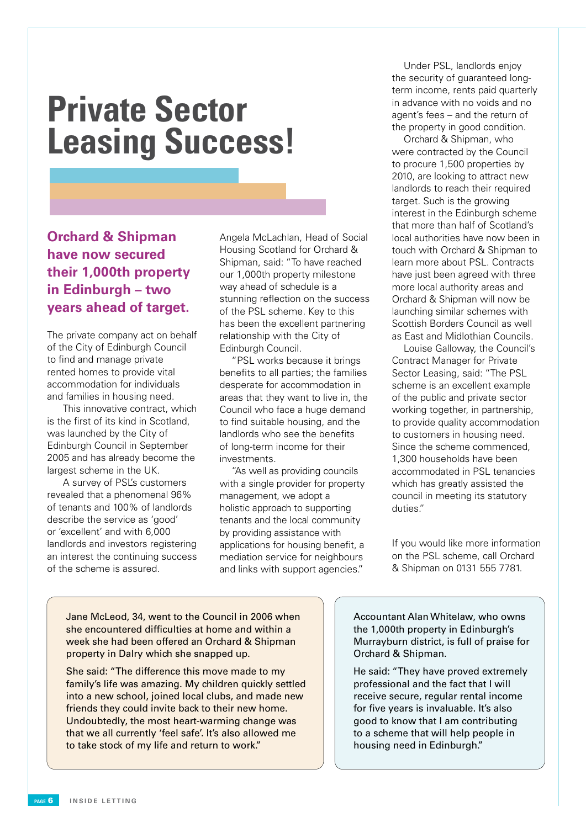# **Private Sector Leasing Success!**

**Orchard & Shipman have now secured their 1,000th property in Edinburgh – two years ahead of target.**

The private company act on behalf of the City of Edinburgh Council to find and manage private rented homes to provide vital accommodation for individuals and families in housing need.

This innovative contract, which is the first of its kind in Scotland, was launched by the City of Edinburgh Council in September 2005 and has already become the largest scheme in the UK.

A survey of PSL's customers revealed that a phenomenal 96% of tenants and 100% of landlords describe the service as 'good' or 'excellent' and with 6,000 landlords and investors registering an interest the continuing success of the scheme is assured.

Angela McLachlan, Head of Social Housing Scotland for Orchard & Shipman, said: "To have reached our 1,000th property milestone way ahead of schedule is a stunning reflection on the success of the PSL scheme. Key to this has been the excellent partnering relationship with the City of Edinburgh Council.

"PSL works because it brings benefits to all parties; the families desperate for accommodation in areas that they want to live in, the Council who face a huge demand to find suitable housing, and the landlords who see the benefits of long-term income for their investments.

"As well as providing councils with a single provider for property management, we adopt a holistic approach to supporting tenants and the local community by providing assistance with applications for housing benefit, a mediation service for neighbours and links with support agencies."

Under PSL, landlords enjoy the security of guaranteed longterm income, rents paid quarterly in advance with no voids and no agent's fees – and the return of the property in good condition.

Orchard & Shipman, who were contracted by the Council to procure 1,500 properties by 2010, are looking to attract new landlords to reach their required target. Such is the growing interest in the Edinburgh scheme that more than half of Scotland's local authorities have now been in touch with Orchard & Shipman to learn more about PSL. Contracts have just been agreed with three more local authority areas and Orchard & Shipman will now be launching similar schemes with Scottish Borders Council as well as East and Midlothian Councils.

Louise Galloway, the Council's Contract Manager for Private Sector Leasing, said: "The PSL scheme is an excellent example of the public and private sector working together, in partnership, to provide quality accommodation to customers in housing need. Since the scheme commenced, 1,300 households have been accommodated in PSL tenancies which has greatly assisted the council in meeting its statutory duties."

If you would like more information on the PSL scheme, call Orchard & Shipman on 0131 555 7781.

Jane McLeod, 34, went to the Council in 2006 when she encountered difficulties at home and within a week she had been offered an Orchard & Shipman property in Dalry which she snapped up.

She said: "The difference this move made to my family's life was amazing. My children quickly settled into a new school, joined local clubs, and made new friends they could invite back to their new home. Undoubtedly, the most heart-warming change was that we all currently 'feel safe'. It's also allowed me to take stock of my life and return to work."

Accountant Alan Whitelaw, who owns the 1,000th property in Edinburgh's Murrayburn district, is full of praise for Orchard & Shipman.

He said: "They have proved extremely professional and the fact that I will receive secure, regular rental income for five years is invaluable. It's also good to know that I am contributing to a scheme that will help people in housing need in Edinburgh."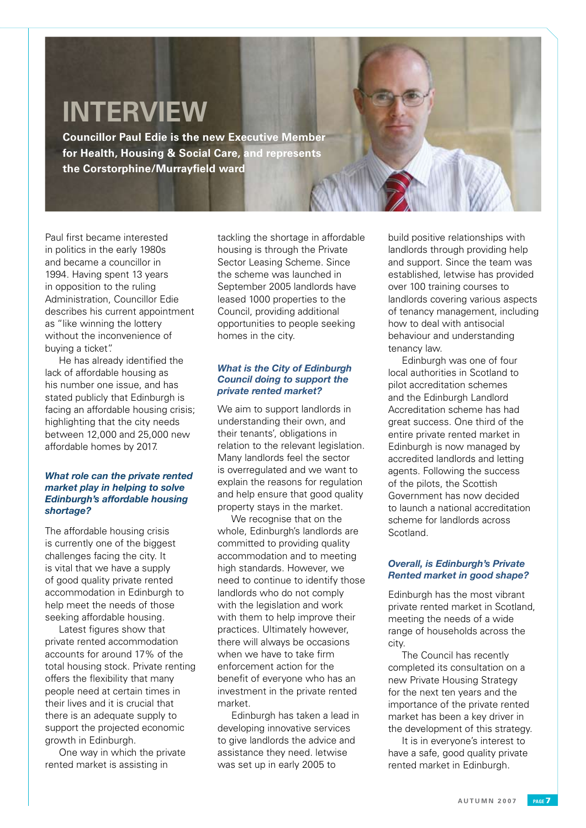# **INTERVIEW**

**Councillor Paul Edie is the new Executive Member for Health, Housing & Social Care, and represents the Corstorphine/Murrayfield ward**

Paul first became interested in politics in the early 1980s and became a councillor in 1994. Having spent 13 years in opposition to the ruling Administration, Councillor Edie describes his current appointment as "like winning the lottery without the inconvenience of buying a ticket".

 He has already identified the lack of affordable housing as his number one issue, and has stated publicly that Edinburgh is facing an affordable housing crisis; highlighting that the city needs between 12,000 and 25,000 new affordable homes by 2017.

## *What role can the private rented market play in helping to solve Edinburgh's affordable housing shortage?*

The affordable housing crisis is currently one of the biggest challenges facing the city. It is vital that we have a supply of good quality private rented accommodation in Edinburgh to help meet the needs of those seeking affordable housing.

 Latest figures show that private rented accommodation accounts for around 17% of the total housing stock. Private renting offers the flexibility that many people need at certain times in their lives and it is crucial that there is an adequate supply to support the projected economic growth in Edinburgh.

 One way in which the private rented market is assisting in

tackling the shortage in affordable housing is through the Private Sector Leasing Scheme. Since the scheme was launched in September 2005 landlords have leased 1000 properties to the Council, providing additional opportunities to people seeking homes in the city.

# *What is the City of Edinburgh Council doing to support the private rented market?*

We aim to support landlords in understanding their own, and their tenants', obligations in relation to the relevant legislation. Many landlords feel the sector is overregulated and we want to explain the reasons for regulation and help ensure that good quality property stays in the market.

 We recognise that on the whole, Edinburgh's landlords are committed to providing quality accommodation and to meeting high standards. However, we need to continue to identify those landlords who do not comply with the legislation and work with them to help improve their practices. Ultimately however, there will always be occasions when we have to take firm enforcement action for the benefit of everyone who has an investment in the private rented market.

 Edinburgh has taken a lead in developing innovative services to give landlords the advice and assistance they need. letwise was set up in early 2005 to

build positive relationships with landlords through providing help and support. Since the team was established, letwise has provided over 100 training courses to landlords covering various aspects of tenancy management, including how to deal with antisocial behaviour and understanding tenancy law.

 Edinburgh was one of four local authorities in Scotland to pilot accreditation schemes and the Edinburgh Landlord Accreditation scheme has had great success. One third of the entire private rented market in Edinburgh is now managed by accredited landlords and letting agents. Following the success of the pilots, the Scottish Government has now decided to launch a national accreditation scheme for landlords across Scotland.

# *Overall, is Edinburgh's Private Rented market in good shape?*

Edinburgh has the most vibrant private rented market in Scotland, meeting the needs of a wide range of households across the city.

 The Council has recently completed its consultation on a new Private Housing Strategy for the next ten years and the importance of the private rented market has been a key driver in the development of this strategy.

 It is in everyone's interest to have a safe, good quality private rented market in Edinburgh.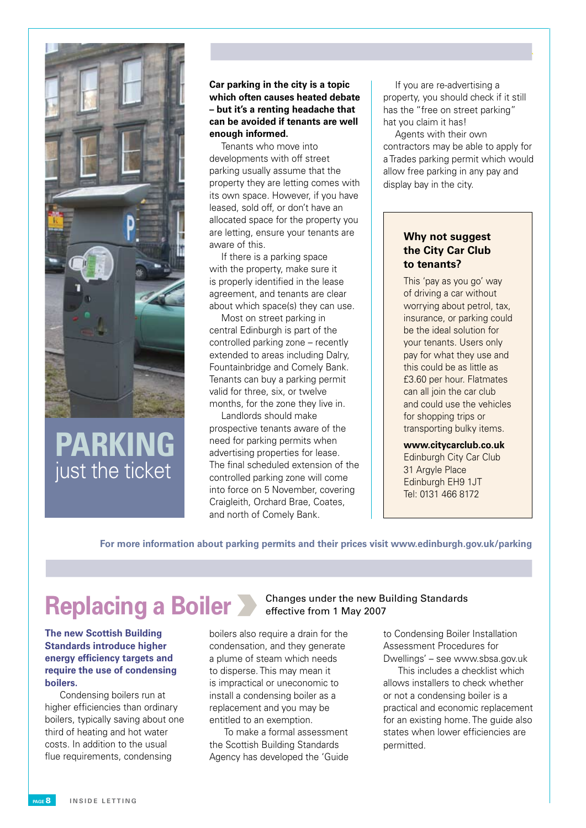

# **Parking** just the ticket

**Car parking in the city is a topic which often causes heated debate – but it's a renting headache that can be avoided if tenants are well enough informed.** 

 Tenants who move into developments with off street parking usually assume that the property they are letting comes with its own space. However, if you have leased, sold off, or don't have an allocated space for the property you are letting, ensure your tenants are aware of this.

 If there is a parking space with the property, make sure it is properly identified in the lease agreement, and tenants are clear about which space(s) they can use.

 Most on street parking in central Edinburgh is part of the controlled parking zone – recently extended to areas including Dalry, Fountainbridge and Comely Bank. Tenants can buy a parking permit valid for three, six, or twelve months, for the zone they live in.

 Landlords should make prospective tenants aware of the need for parking permits when advertising properties for lease. The final scheduled extension of the controlled parking zone will come into force on 5 November, covering Craigleith, Orchard Brae, Coates, and north of Comely Bank.

 If you are re-advertising a property, you should check if it still has the "free on street parking" hat you claim it has!

 Agents with their own contractors may be able to apply for a Trades parking permit which would allow free parking in any pay and display bay in the city.

# **Why not suggest the City Car Club to tenants?**

This 'pay as you go' way of driving a car without worrying about petrol, tax, insurance, or parking could be the ideal solution for your tenants. Users only pay for what they use and this could be as little as £3.60 per hour. Flatmates can all join the car club and could use the vehicles for shopping trips or transporting bulky items.

**www.citycarclub.co.uk** Edinburgh City Car Club 31 Argyle Place Edinburgh EH9 1JT Tel: 0131 466 8172

**For more information about parking permits and their prices visit www.edinburgh.gov.uk/parking**

**The new Scottish Building Standards introduce higher energy efficiency targets and require the use of condensing boilers.**

 Condensing boilers run at higher efficiencies than ordinary boilers, typically saving about one third of heating and hot water costs. In addition to the usual flue requirements, condensing

# **Replacing a Boiler** Changes under the new Building Standards effective from 1 May 2007

boilers also require a drain for the condensation, and they generate a plume of steam which needs to disperse. This may mean it is impractical or uneconomic to install a condensing boiler as a replacement and you may be entitled to an exemption.

 To make a formal assessment the Scottish Building Standards Agency has developed the 'Guide to Condensing Boiler Installation Assessment Procedures for Dwellings' – see www.sbsa.gov.uk

 This includes a checklist which allows installers to check whether or not a condensing boiler is a practical and economic replacement for an existing home. The guide also states when lower efficiencies are permitted.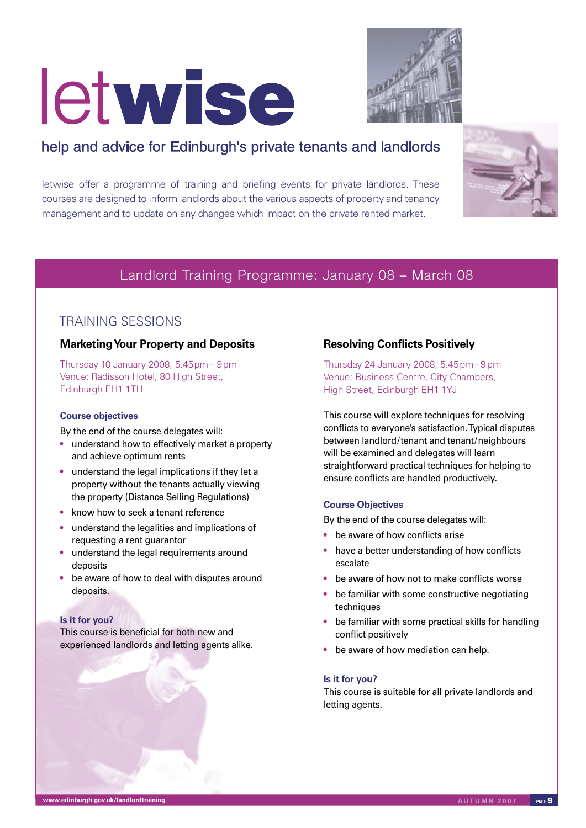# letwise



# help and advice for Edinburgh's private tenants and landlords

letwise offer a programme of training and briefing events for private landlords. These courses are designed to inform landlords about the various aspects of property and tenancy management and to update on any changes which impact on the private rented market.



# Landlord Training Programme: January 08 – March 08

# TRAINING SESSIONS

# **Marketing Your Property and Deposits**

Thursday 10 January 2008, 5.45pm– 9pm Venue: Radisson Hotel, 80 High Street, Edinburgh EH1 1TH

# **Course objectives**

By the end of the course delegates will:

- understand how to effectively market a property and achieve optimum rents
- understand the legal implications if they let a property without the tenants actually viewing the property (Distance Selling Regulations)
- know how to seek a tenant reference
- understand the legalities and implications of requesting a rent guarantor
- understand the legal requirements around deposits
- be aware of how to deal with disputes around deposits.

# **Is it for you?**

This course is beneficial for both new and experienced landlords and letting agents alike.

# **Resolving Conflicts Positively**

Thursday 24 January 2008, 5.45pm – 9 pm Venue: Business Centre, City Chambers, High Street, Edinburgh EH1 1YJ

This course will explore techniques for resolving conflicts to everyone's satisfaction. Typical disputes between landlord/tenant and tenant/neighbours will be examined and delegates will learn straightforward practical techniques for helping to ensure conflicts are handled productively.

# **Course Objectives**

By the end of the course delegates will:

- be aware of how conflicts arise
- have a better understanding of how conflicts escalate
- be aware of how not to make conflicts worse
- be familiar with some constructive negotiating techniques
- be familiar with some practical skills for handling conflict positively
- be aware of how mediation can help.

## **Is it for you?**

This course is suitable for all private landlords and letting agents.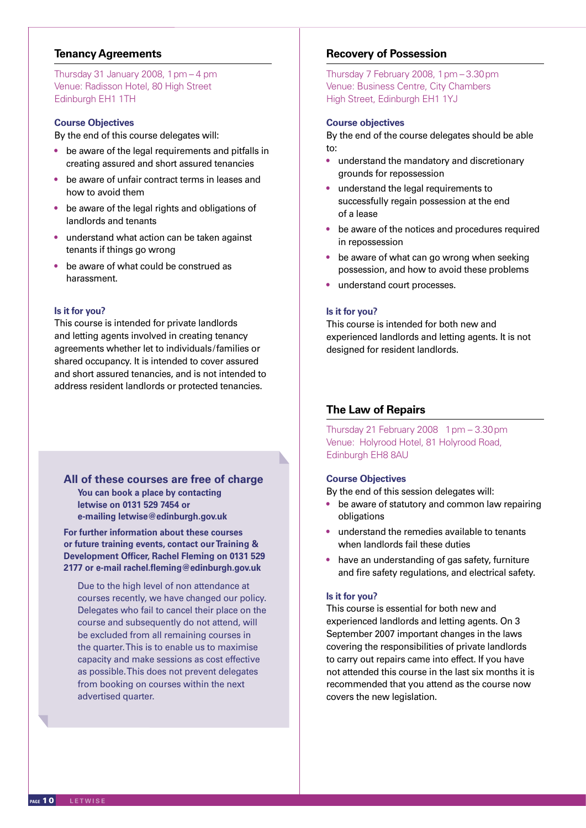# **Tenancy Agreements**

Thursday 31 January 2008, 1  $pm - 4$   $pm$ Venue: Radisson Hotel, 80 High Street Edinburgh EH1 1TH

### **Course Objectives**

By the end of this course delegates will:

- be aware of the legal requirements and pitfalls in creating assured and short assured tenancies
- be aware of unfair contract terms in leases and how to avoid them
- be aware of the legal rights and obligations of landlords and tenants
- understand what action can be taken against tenants if things go wrong
- be aware of what could be construed as harassment.

## **Is it for you?**

This course is intended for private landlords and letting agents involved in creating tenancy agreements whether let to individuals/families or shared occupancy. It is intended to cover assured and short assured tenancies, and is not intended to address resident landlords or protected tenancies.

# **All of these courses are free of charge**

**You can book a place by contacting letwise on 0131 529 7454 or e-mailing letwise@edinburgh.gov.uk**

**For further information about these courses or future training events, contact our Training & Development Officer, Rachel Fleming on 0131 529 2177 or e-mail rachel.fleming@edinburgh.gov.uk**

Due to the high level of non attendance at courses recently, we have changed our policy. Delegates who fail to cancel their place on the course and subsequently do not attend, will be excluded from all remaining courses in the quarter. This is to enable us to maximise capacity and make sessions as cost effective as possible. This does not prevent delegates from booking on courses within the next advertised quarter.

# **Recovery of Possession**

Thursday 7 February 2008, 1pm – 3.30pm Venue: Business Centre, City Chambers High Street, Edinburgh EH1 1YJ

## **Course objectives**

By the end of the course delegates should be able to:

- understand the mandatory and discretionary grounds for repossession
- understand the legal requirements to successfully regain possession at the end of a lease
- be aware of the notices and procedures required in repossession
- be aware of what can go wrong when seeking possession, and how to avoid these problems
- understand court processes.

#### **Is it for you?**

This course is intended for both new and experienced landlords and letting agents. It is not designed for resident landlords.

# **The Law of Repairs**

Thursday 21 February 2008 1pm – 3.30pm Venue: Holyrood Hotel, 81 Holyrood Road, Edinburgh EH8 8AU

### **Course Objectives**

By the end of this session delegates will:

- be aware of statutory and common law repairing obligations
- understand the remedies available to tenants when landlords fail these duties
- have an understanding of gas safety, furniture and fire safety regulations, and electrical safety.

### **Is it for you?**

This course is essential for both new and experienced landlords and letting agents. On 3 September 2007 important changes in the laws covering the responsibilities of private landlords to carry out repairs came into effect. If you have not attended this course in the last six months it is recommended that you attend as the course now covers the new legislation.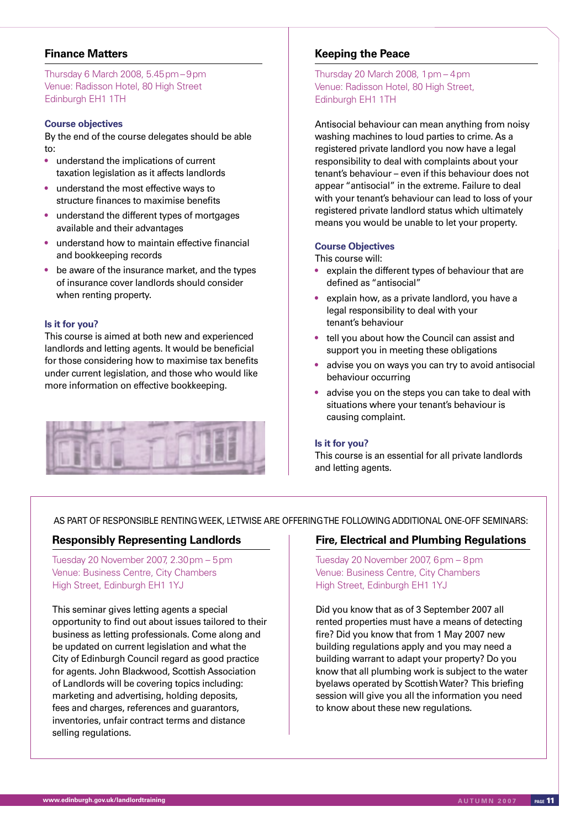# **Finance Matters**

Thursday 6 March 2008, 5.45pm – 9pm Venue: Radisson Hotel, 80 High Street Edinburgh EH1 1TH

### **Course objectives**

By the end of the course delegates should be able to:

- understand the implications of current taxation legislation as it affects landlords
- understand the most effective ways to structure finances to maximise benefits
- understand the different types of mortgages available and their advantages
- understand how to maintain effective financial and bookkeeping records
- be aware of the insurance market, and the types of insurance cover landlords should consider when renting property.

#### **Is it for you?**

This course is aimed at both new and experienced landlords and letting agents. It would be beneficial for those considering how to maximise tax benefits under current legislation, and those who would like more information on effective bookkeeping.



# **Keeping the Peace**

Thursday 20 March 2008,  $1 \text{ pm} - 4 \text{ pm}$ Venue: Radisson Hotel, 80 High Street, Edinburgh EH1 1TH

Antisocial behaviour can mean anything from noisy washing machines to loud parties to crime. As a registered private landlord you now have a legal responsibility to deal with complaints about your tenant's behaviour – even if this behaviour does not appear "antisocial" in the extreme. Failure to deal with your tenant's behaviour can lead to loss of your registered private landlord status which ultimately means you would be unable to let your property.

#### **Course Objectives**

This course will:

- explain the different types of behaviour that are defined as "antisocial"
- explain how, as a private landlord, you have a legal responsibility to deal with your tenant's behaviour
- tell you about how the Council can assist and support you in meeting these obligations
- advise you on ways you can try to avoid antisocial behaviour occurring
- advise you on the steps you can take to deal with situations where your tenant's behaviour is causing complaint.

#### **Is it for you?**

This course is an essential for all private landlords and letting agents.

AS PART OF RESPONSIBLE RENTING WEEK, LETWISE ARE OFFERING THE FOLLOWING ADDITIONAL ONE-OFF SEMINARS:

# **Responsibly Representing Landlords**

Tuesday 20 November 2007, 2.30pm – 5pm Venue: Business Centre, City Chambers High Street, Edinburgh EH1 1YJ

This seminar gives letting agents a special opportunity to find out about issues tailored to their business as letting professionals. Come along and be updated on current legislation and what the City of Edinburgh Council regard as good practice for agents. John Blackwood, Scottish Association of Landlords will be covering topics including: marketing and advertising, holding deposits, fees and charges, references and guarantors, inventories, unfair contract terms and distance selling regulations.

## **Fire, Electrical and Plumbing Regulations**

Tuesday 20 November 2007, 6pm – 8pm Venue: Business Centre, City Chambers High Street, Edinburgh EH1 1YJ

Did you know that as of 3 September 2007 all rented properties must have a means of detecting fire? Did you know that from 1 May 2007 new building regulations apply and you may need a building warrant to adapt your property? Do you know that all plumbing work is subject to the water byelaws operated by Scottish Water? This briefing session will give you all the information you need to know about these new regulations.